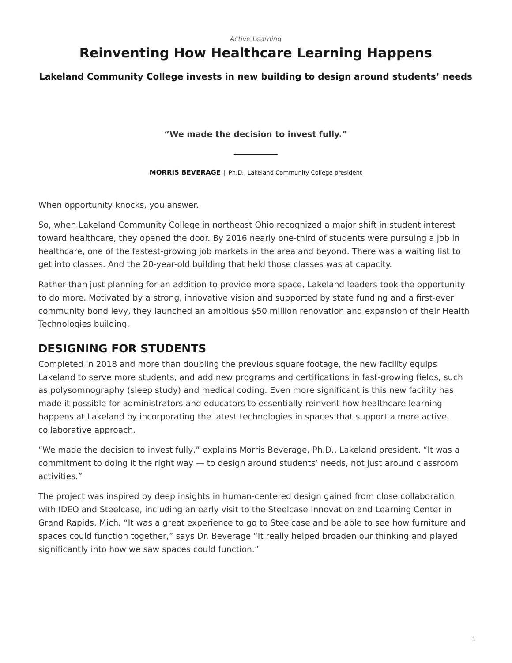# **Reinventing How Healthcare Learning Happens**

**Lakeland Community College invests in new building to design around students' needs**

**"We made the decision to invest fully."**

**MORRIS BEVERAGE** | Ph.D., Lakeland Community College president

When opportunity knocks, you answer.

So, when Lakeland Community College in northeast Ohio recognized a major shift in student interest toward healthcare, they opened the door. By 2016 nearly one-third of students were pursuing a job in healthcare, one of the fastest-growing job markets in the area and beyond. There was a waiting list to get into classes. And the 20-year-old building that held those classes was at capacity.

Rather than just planning for an addition to provide more space, Lakeland leaders took the opportunity to do more. Motivated by a strong, innovative vision and supported by state funding and a first-ever community bond levy, they launched an ambitious \$50 million renovation and expansion of their Health Technologies building.

### **DESIGNING FOR STUDENTS**

Completed in 2018 and more than doubling the previous square footage, the new facility equips Lakeland to serve more students, and add new programs and certifications in fast-growing fields, such as polysomnography (sleep study) and medical coding. Even more significant is this new facility has made it possible for administrators and educators to essentially reinvent how healthcare learning happens at Lakeland by incorporating the latest technologies in spaces that support a more active, collaborative approach.

"We made the decision to invest fully," explains Morris Beverage, Ph.D., Lakeland president. "It was a commitment to doing it the right way — to design around students' needs, not just around classroom activities."

The project was inspired by deep insights in human-centered design gained from close collaboration with IDEO and Steelcase, including an early visit to the Steelcase Innovation and Learning Center in Grand Rapids, Mich. "It was a great experience to go to Steelcase and be able to see how furniture and spaces could function together," says Dr. Beverage "It really helped broaden our thinking and played significantly into how we saw spaces could function."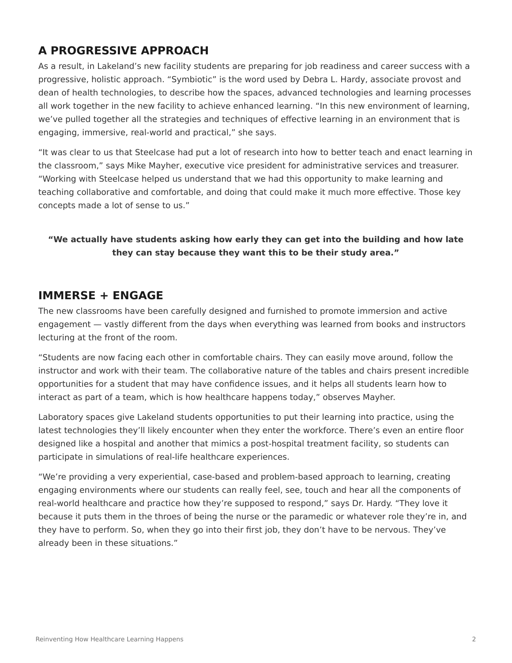## **A PROGRESSIVE APPROACH**

As a result, in Lakeland's new facility students are preparing for job readiness and career success with a progressive, holistic approach. "Symbiotic" is the word used by Debra L. Hardy, associate provost and dean of health technologies, to describe how the spaces, advanced technologies and learning processes all work together in the new facility to achieve enhanced learning. "In this new environment of learning, we've pulled together all the strategies and techniques of effective learning in an environment that is engaging, immersive, real-world and practical," she says.

"It was clear to us that Steelcase had put a lot of research into how to better teach and enact learning in the classroom," says Mike Mayher, executive vice president for administrative services and treasurer. "Working with Steelcase helped us understand that we had this opportunity to make learning and teaching collaborative and comfortable, and doing that could make it much more effective. Those key concepts made a lot of sense to us."

#### **"We actually have students asking how early they can get into the building and how late they can stay because they want this to be their study area."**

#### **IMMERSE + ENGAGE**

The new classrooms have been carefully designed and furnished to promote immersion and active engagement — vastly different from the days when everything was learned from books and instructors lecturing at the front of the room.

"Students are now facing each other in comfortable chairs. They can easily move around, follow the instructor and work with their team. The collaborative nature of the tables and chairs present incredible opportunities for a student that may have confidence issues, and it helps all students learn how to interact as part of a team, which is how healthcare happens today," observes Mayher.

Laboratory spaces give Lakeland students opportunities to put their learning into practice, using the latest technologies they'll likely encounter when they enter the workforce. There's even an entire floor designed like a hospital and another that mimics a post-hospital treatment facility, so students can participate in simulations of real-life healthcare experiences.

"We're providing a very experiential, case-based and problem-based approach to learning, creating engaging environments where our students can really feel, see, touch and hear all the components of real-world healthcare and practice how they're supposed to respond," says Dr. Hardy. "They love it because it puts them in the throes of being the nurse or the paramedic or whatever role they're in, and they have to perform. So, when they go into their first job, they don't have to be nervous. They've already been in these situations."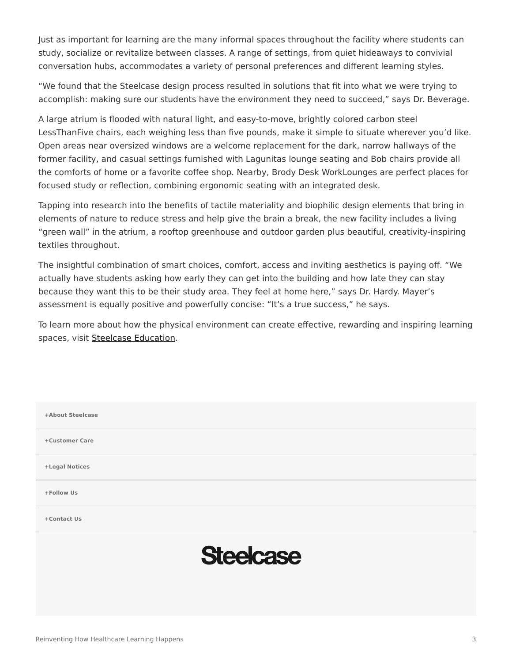Just as important for learning are the many informal spaces throughout the facility where students can study, socialize or revitalize between classes. A range of settings, from quiet hideaways to convivial conversation hubs, accommodates a variety of personal preferences and different learning styles.

"We found that the Steelcase design process resulted in solutions that fit into what we were trying to accomplish: making sure our students have the environment they need to succeed," says Dr. Beverage.

A large atrium is flooded with natural light, and easy-to-move, brightly colored carbon steel LessThanFive chairs, each weighing less than five pounds, make it simple to situate wherever you'd like. Open areas near oversized windows are a welcome replacement for the dark, narrow hallways of the former facility, and casual settings furnished with Lagunitas lounge seating and Bob chairs provide all the comforts of home or a favorite coffee shop. Nearby, Brody Desk WorkLounges are perfect places for focused study or reflection, combining ergonomic seating with an integrated desk.

Tapping into research into the benefits of tactile materiality and biophilic design elements that bring in elements of nature to reduce stress and help give the brain a break, the new facility includes a living "green wall" in the atrium, a rooftop greenhouse and outdoor garden plus beautiful, creativity-inspiring textiles throughout.

The insightful combination of smart choices, comfort, access and inviting aesthetics is paying off. "We actually have students asking how early they can get into the building and how late they can stay because they want this to be their study area. They feel at home here," says Dr. Hardy. Mayer's assessment is equally positive and powerfully concise: "It's a true success," he says.

To learn more about how the physical environment can create effective, rewarding and inspiring learning spaces, visit [Steelcase Education.](https://www.steelcase.com/eu-en/discover/information/education-professionals/)

| +About Steelcase |
|------------------|
| +Customer Care   |
| +Legal Notices   |
| +Follow Us       |
| +Contact Us      |
| <b>Steelcase</b> |
|                  |